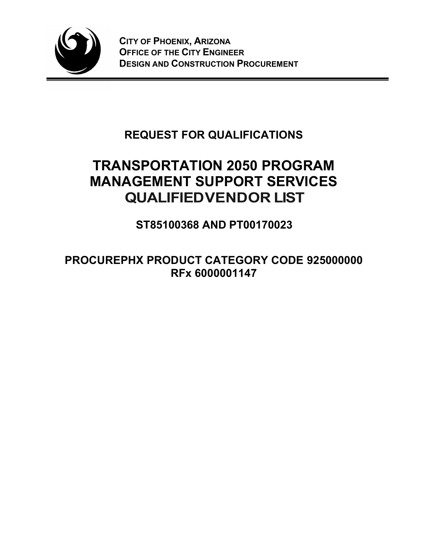

## REQUEST FOR QUALIFICATIONS

# TRANSPORTATION 2050 PROGRAM MANAGEMENT SUPPORT SERVICES QUALIFIED VENDOR LIST

ST85100368 AND PT00170023

PROCUREPHX PRODUCT CATEGORY CODE 925000000 RFx 6000001147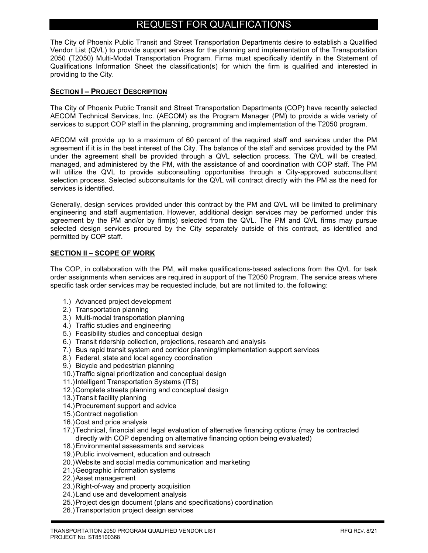### REQUEST FOR QUALIFICATIONS

The City of Phoenix Public Transit and Street Transportation Departments desire to establish a Qualified Vendor List (QVL) to provide support services for the planning and implementation of the Transportation 2050 (T2050) Multi-Modal Transportation Program. Firms must specifically identify in the Statement of Qualifications Information Sheet the classification(s) for which the firm is qualified and interested in providing to the City.

#### SECTION I - PROJECT DESCRIPTION

The City of Phoenix Public Transit and Street Transportation Departments (COP) have recently selected AECOM Technical Services, Inc. (AECOM) as the Program Manager (PM) to provide a wide variety of services to support COP staff in the planning, programming and implementation of the T2050 program.

AECOM will provide up to a maximum of 60 percent of the required staff and services under the PM agreement if it is in the best interest of the City. The balance of the staff and services provided by the PM under the agreement shall be provided through a QVL selection process. The QVL will be created, managed, and administered by the PM, with the assistance of and coordination with COP staff. The PM will utilize the QVL to provide subconsulting opportunities through a City-approved subconsultant selection process. Selected subconsultants for the QVL will contract directly with the PM as the need for services is identified.

Generally, design services provided under this contract by the PM and QVL will be limited to preliminary engineering and staff augmentation. However, additional design services may be performed under this agreement by the PM and/or by firm(s) selected from the QVL. The PM and QVL firms may pursue selected design services procured by the City separately outside of this contract, as identified and permitted by COP staff.

#### SECTION II - SCOPE OF WORK

The COP, in collaboration with the PM, will make qualifications-based selections from the QVL for task order assignments when services are required in support of the T2050 Program. The service areas where specific task order services may be requested include, but are not limited to, the following:

- 1.) Advanced project development
- 2.) Transportation planning
- 3.) Multi-modal transportation planning
- 4.) Traffic studies and engineering
- 5.) Feasibility studies and conceptual design
- 6.) Transit ridership collection, projections, research and analysis
- 7.) Bus rapid transit system and corridor planning/implementation support services
- 8.) Federal, state and local agency coordination
- 9.) Bicycle and pedestrian planning
- 10.) Traffic signal prioritization and conceptual design
- 11.) Intelligent Transportation Systems (ITS)
- 12.) Complete streets planning and conceptual design
- 13.) Transit facility planning
- 14.) Procurement support and advice
- 15.) Contract negotiation
- 16.) Cost and price analysis
- 17.) Technical, financial and legal evaluation of alternative financing options (may be contracted directly with COP depending on alternative financing option being evaluated)
- 18.) Environmental assessments and services
- 19.) Public involvement, education and outreach
- 20.) Website and social media communication and marketing
- 21.) Geographic information systems
- 22.) Asset management
- 23.) Right-of-way and property acquisition
- 24.) Land use and development analysis
- 25.) Project design document (plans and specifications) coordination
- 26.) Transportation project design services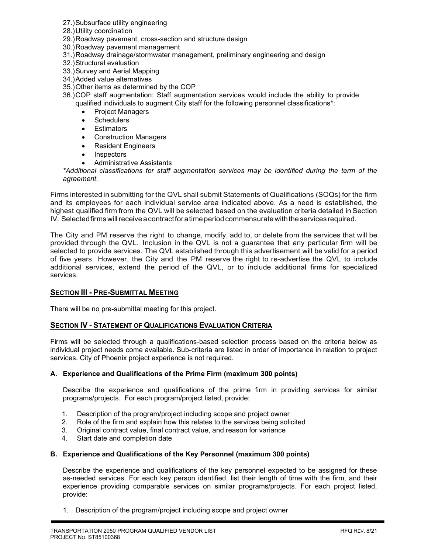- 27.) Subsurface utility engineering
- 28.) Utility coordination
- 29.) Roadway pavement, cross-section and structure design
- 30.) Roadway pavement management
- 31.) Roadway drainage/stormwater management, preliminary engineering and design
- 32.) Structural evaluation
- 33.) Survey and Aerial Mapping
- 34.) Added value alternatives
- 35.) Other items as determined by the COP
- 36.) COP staff augmentation: Staff augmentation services would include the ability to provide qualified individuals to augment City staff for the following personnel classifications\*:
	- Project Managers
	- **Schedulers**
	- Estimators
	- Construction Managers
	- Resident Engineers
	- Inspectors
	- Administrative Assistants

\*Additional classifications for staff augmentation services may be identified during the term of the agreement.

Firms interested in submitting for the QVL shall submit Statements of Qualifications (SOQs) for the firm and its employees for each individual service area indicated above. As a need is established, the highest qualified firm from the QVL will be selected based on the evaluation criteria detailed in Section IV. Selected firms will receive a contract for a time period commensurate with the services required.

The City and PM reserve the right to change, modify, add to, or delete from the services that will be provided through the QVL. Inclusion in the QVL is not a guarantee that any particular firm will be selected to provide services. The QVL established through this advertisement will be valid for a period of five years. However, the City and the PM reserve the right to re-advertise the QVL to include additional services, extend the period of the QVL, or to include additional firms for specialized services.

#### **SECTION III - PRE-SUBMITTAL MEETING**

There will be no pre-submittal meeting for this project.

#### **SECTION IV - STATEMENT OF QUALIFICATIONS EVALUATION CRITERIA**

Firms will be selected through a qualifications-based selection process based on the criteria below as individual project needs come available. Sub-criteria are listed in order of importance in relation to project services. City of Phoenix project experience is not required.

#### A. Experience and Qualifications of the Prime Firm (maximum 300 points)

Describe the experience and qualifications of the prime firm in providing services for similar programs/projects. For each program/project listed, provide:

- 1. Description of the program/project including scope and project owner
- 2. Role of the firm and explain how this relates to the services being solicited
- 3. Original contract value, final contract value, and reason for variance
- 4. Start date and completion date

#### B. Experience and Qualifications of the Key Personnel (maximum 300 points)

Describe the experience and qualifications of the key personnel expected to be assigned for these as-needed services. For each key person identified, list their length of time with the firm, and their experience providing comparable services on similar programs/projects. For each project listed, provide:

1. Description of the program/project including scope and project owner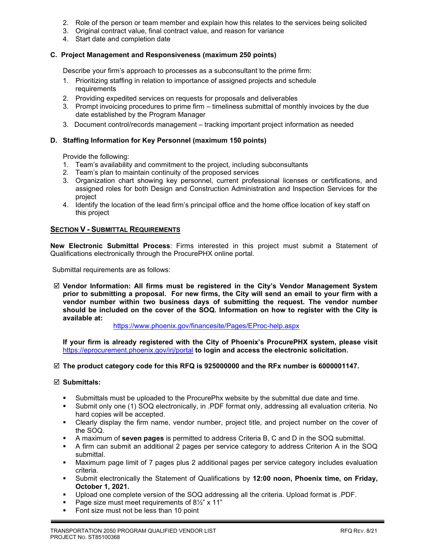- 2. Role of the person or team member and explain how this relates to the services being solicited
- 3. Original contract value, final contract value, and reason for variance
- 4. Start date and completion date

#### C. Project Management and Responsiveness (maximum 250 points)

Describe your firm's approach to processes as a subconsultant to the prime firm:

- 1. Prioritizing staffing in relation to importance of assigned projects and schedule requirements
- 2. Providing expedited services on requests for proposals and deliverables
- 3. Prompt invoicing procedures to prime firm timeliness submittal of monthly invoices by the due date established by the Program Manager
- 3. Document control/records management tracking important project information as needed

#### D. Staffing Information for Key Personnel (maximum 150 points)

Provide the following:

- 1. Team's availability and commitment to the project, including subconsultants
- 2. Team's plan to maintain continuity of the proposed services
- 3. Organization chart showing key personnel, current professional licenses or certifications, and assigned roles for both Design and Construction Administration and Inspection Services for the project
- 4. Identify the location of the lead firm's principal office and the home office location of key staff on this project

#### **SECTION V - SUBMITTAL REQUIREMENTS**

New Electronic Submittal Process: Firms interested in this project must submit a Statement of Qualifications electronically through the ProcurePHX online portal.

Submittal requirements are as follows:

 $\boxtimes$  Vendor Information: All firms must be registered in the City's Vendor Management System prior to submitting a proposal. For new firms, the City will send an email to your firm with a vendor number within two business days of submitting the request. The vendor number should be included on the cover of the SOQ. Information on how to register with the City is available at:

https://www.phoenix.gov/financesite/Pages/EProc-help.aspx

If your firm is already registered with the City of Phoenix's ProcurePHX system, please visit https://eprocurement.phoenix.gov/irj/portal to login and access the electronic solicitation.

#### $\boxtimes$  The product category code for this RFQ is 925000000 and the RFx number is 6000001147.

#### $\boxtimes$  Submittals:

- Submittals must be uploaded to the ProcurePhx website by the submittal due date and time.
- Submit only one (1) SOQ electronically, in .PDF format only, addressing all evaluation criteria. No hard copies will be accepted.
- Clearly display the firm name, vendor number, project title, and project number on the cover of the SOQ.
- A maximum of seven pages is permitted to address Criteria B, C and D in the SOQ submittal.
- A firm can submit an additional 2 pages per service category to address Criterion A in the SOQ submittal.
- Maximum page limit of 7 pages plus 2 additional pages per service category includes evaluation criteria.
- **Submit electronically the Statement of Qualifications by 12:00 noon, Phoenix time, on Friday,** October 1, 2021.
- Upload one complete version of the SOQ addressing all the criteria. Upload format is .PDF.
- Page size must meet requirements of  $8\frac{1}{2}$ " x 11"
- Font size must not be less than 10 point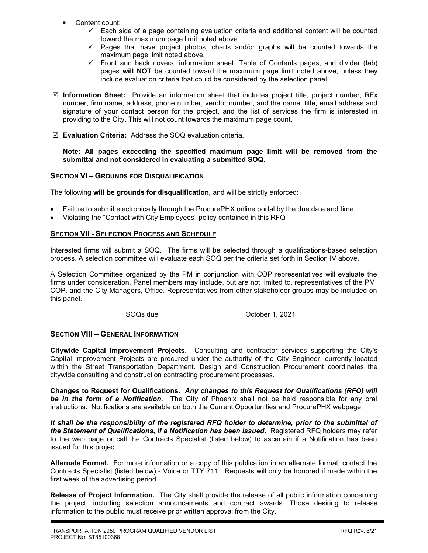- Content count:
	- $\checkmark$  Each side of a page containing evaluation criteria and additional content will be counted toward the maximum page limit noted above.
	- $\checkmark$  Pages that have project photos, charts and/or graphs will be counted towards the maximum page limit noted above.
	- $\checkmark$  Front and back covers, information sheet, Table of Contents pages, and divider (tab) pages will NOT be counted toward the maximum page limit noted above, unless they include evaluation criteria that could be considered by the selection panel.
- $\boxtimes$  Information Sheet: Provide an information sheet that includes project title, project number, RFx number, firm name, address, phone number, vendor number, and the name, title, email address and signature of your contact person for the project, and the list of services the firm is interested in providing to the City. This will not count towards the maximum page count.
- Evaluation Criteria: Address the SOQ evaluation criteria.

Note: All pages exceeding the specified maximum page limit will be removed from the submittal and not considered in evaluating a submitted SOQ.

#### SECTION VI – GROUNDS FOR DISQUALIFICATION

The following will be grounds for disqualification, and will be strictly enforced:

- Failure to submit electronically through the ProcurePHX online portal by the due date and time.
- Violating the "Contact with City Employees" policy contained in this RFQ

#### SECTION VII - SELECTION PROCESS AND SCHEDULE

Interested firms will submit a SOQ. The firms will be selected through a qualifications-based selection process. A selection committee will evaluate each SOQ per the criteria set forth in Section IV above.

A Selection Committee organized by the PM in conjunction with COP representatives will evaluate the firms under consideration. Panel members may include, but are not limited to, representatives of the PM, COP, and the City Managers, Office. Representatives from other stakeholder groups may be included on this panel.

SOQs due **October 1, 2021** 

#### **SECTION VIII - GENERAL INFORMATION**

Citywide Capital Improvement Projects. Consulting and contractor services supporting the City's Capital Improvement Projects are procured under the authority of the City Engineer, currently located within the Street Transportation Department. Design and Construction Procurement coordinates the citywide consulting and construction contracting procurement processes.

Changes to Request for Qualifications. Any changes to this Request for Qualifications (RFQ) will be in the form of a Notification. The City of Phoenix shall not be held responsible for any oral instructions. Notifications are available on both the Current Opportunities and ProcurePHX webpage.

It shall be the responsibility of the registered RFQ holder to determine, prior to the submittal of the Statement of Qualifications, if a Notification has been issued. Registered RFQ holders may refer to the web page or call the Contracts Specialist (listed below) to ascertain if a Notification has been issued for this project.

Alternate Format. For more information or a copy of this publication in an alternate format, contact the Contracts Specialist (listed below) - Voice or TTY 711. Requests will only be honored if made within the first week of the advertising period.

Release of Project Information. The City shall provide the release of all public information concerning the project, including selection announcements and contract awards. Those desiring to release information to the public must receive prior written approval from the City.